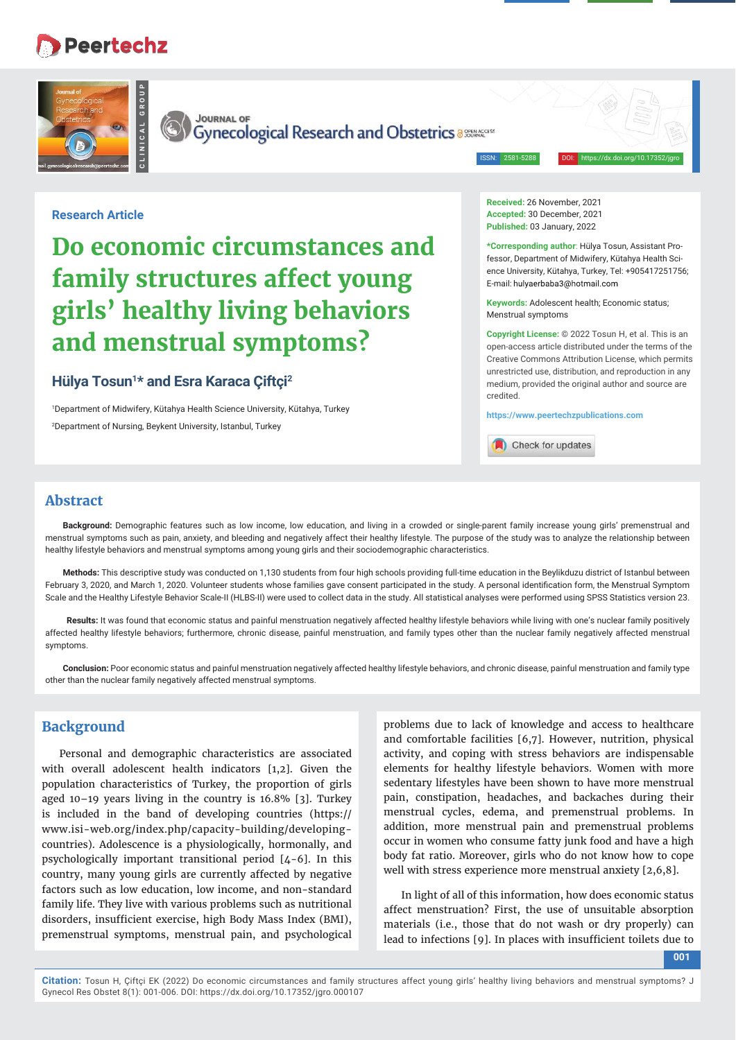# **Peertechz**



**JOURNAL OF** 

Gynecological Research and Obstetrics assurances

ISSN: 2581-5288 DOI: https://dx.doi.org/10.17352/jgro

#### **Research Article**

# **Do economic circumstances and family structures affect young girls' healthy living behaviors and menstrual symptoms?**

# **Hülya Tosun1 \* and Esra Karaca Çiftçi2**

1 Department of Midwifery, Kütahya Health Science University, Kütahya, Turkey 2 Department of Nursing, Beykent University, Istanbul, Turkey

**Received:** 26 November, 2021 **Accepted:** 30 December, 2021 **Published:** 03 January, 2022

**\*Corresponding author**: Hülya Tosun, Assistant Professor, Department of Midwifery, Kütahya Health Science University, Kütahya, Turkey, Tel: +905417251756; E-mail: hulyaerbaba3@hotmail.com

**Keywords:** Adolescent health; Economic status; Menstrual symptoms

**Copyright License:** © 2022 Tosun H, et al. This is an open-access article distributed under the terms of the Creative Commons Attribution License, which permits unrestricted use, distribution, and reproduction in any medium, provided the original author and source are credited.

**https://www.peertechzpublications.com**

Check for updates

# **Abstract**

**Background:** Demographic features such as low income, low education, and living in a crowded or single-parent family increase young girls' premenstrual and menstrual symptoms such as pain, anxiety, and bleeding and negatively affect their healthy lifestyle. The purpose of the study was to analyze the relationship between healthy lifestyle behaviors and menstrual symptoms among young girls and their sociodemographic characteristics.

**Methods:** This descriptive study was conducted on 1,130 students from four high schools providing full-time education in the Beylikduzu district of Istanbul between February 3, 2020, and March 1, 2020. Volunteer students whose families gave consent participated in the study. A personal identification form, the Menstrual Symptom Scale and the Healthy Lifestyle Behavior Scale-II (HLBS-II) were used to collect data in the study. All statistical analyses were performed using SPSS Statistics version 23.

 **Results:** It was found that economic status and painful menstruation negatively affected healthy lifestyle behaviors while living with one's nuclear family positively affected healthy lifestyle behaviors; furthermore, chronic disease, painful menstruation, and family types other than the nuclear family negatively affected menstrual symptoms.

**Conclusion:** Poor economic status and painful menstruation negatively affected healthy lifestyle behaviors, and chronic disease, painful menstruation and family type other than the nuclear family negatively affected menstrual symptoms.

# **Background**

Personal and demographic characteristics are associated with overall adolescent health indicators [1,2]. Given the population characteristics of Turkey, the proportion of girls aged 10–19 years living in the country is 16.8% [3]. Turkey is included in the band of developing countries (https:// www.isi-web.org/index.php/capacity-building/developingcountries). Adolescence is a physiologically, hormonally, and psychologically important transitional period [4-6]. In this country, many young girls are currently affected by negative factors such as low education, low income, and non-standard family life. They live with various problems such as nutritional disorders, insufficient exercise, high Body Mass Index (BMI), premenstrual symptoms, menstrual pain, and psychological

problems due to lack of knowledge and access to healthcare and comfortable facilities [6,7]. However, nutrition, physical activity, and coping with stress behaviors are indispensable elements for healthy lifestyle behaviors. Women with more sedentary lifestyles have been shown to have more menstrual pain, constipation, headaches, and backaches during their menstrual cycles, edema, and premenstrual problems. In addition, more menstrual pain and premenstrual problems occur in women who consume fatty junk food and have a high body fat ratio. Moreover, girls who do not know how to cope well with stress experience more menstrual anxiety [2,6,8].

In light of all of this information, how does economic status affect menstruation? First, the use of unsuitable absorption materials (i.e., those that do not wash or dry properly) can lead to infections [9]. In places with insufficient toilets due to

**001**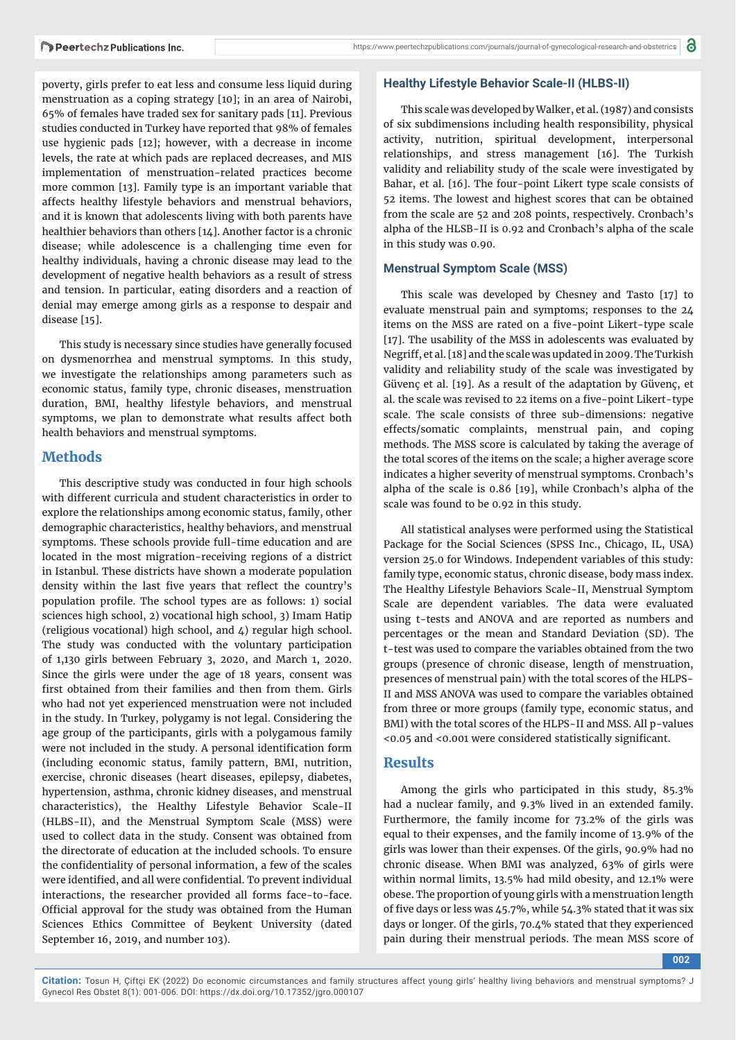poverty, girls prefer to eat less and consume less liquid during menstruation as a coping strategy [10]; in an area of Nairobi, 65% of females have traded sex for sanitary pads [11]. Previous studies conducted in Turkey have reported that 98% of females use hygienic pads [12]; however, with a decrease in income levels, the rate at which pads are replaced decreases, and MIS implementation of menstruation-related practices become more common [13]. Family type is an important variable that affects healthy lifestyle behaviors and menstrual behaviors, and it is known that adolescents living with both parents have healthier behaviors than others [14]. Another factor is a chronic disease; while adolescence is a challenging time even for healthy individuals, having a chronic disease may lead to the development of negative health behaviors as a result of stress and tension. In particular, eating disorders and a reaction of denial may emerge among girls as a response to despair and disease [15].

This study is necessary since studies have generally focused on dysmenorrhea and menstrual symptoms. In this study, we investigate the relationships among parameters such as economic status, family type, chronic diseases, menstruation duration, BMI, healthy lifestyle behaviors, and menstrual symptoms, we plan to demonstrate what results affect both health behaviors and menstrual symptoms.

# **Methods**

This descriptive study was conducted in four high schools with different curricula and student characteristics in order to explore the relationships among economic status, family, other demographic characteristics, healthy behaviors, and menstrual symptoms. These schools provide full-time education and are located in the most migration-receiving regions of a district in Istanbul. These districts have shown a moderate population density within the last five years that reflect the country's population profile. The school types are as follows: 1) social sciences high school, 2) vocational high school, 3) Imam Hatip (religious vocational) high school, and 4) regular high school. The study was conducted with the voluntary participation of 1,130 girls between February 3, 2020, and March 1, 2020. Since the girls were under the age of 18 years, consent was first obtained from their families and then from them. Girls who had not yet experienced menstruation were not included in the study. In Turkey, polygamy is not legal. Considering the age group of the participants, girls with a polygamous family were not included in the study. A personal identification form (including economic status, family pattern, BMI, nutrition, exercise, chronic diseases (heart diseases, epilepsy, diabetes, hypertension, asthma, chronic kidney diseases, and menstrual characteristics), the Healthy Lifestyle Behavior Scale-II (HLBS-II), and the Menstrual Symptom Scale (MSS) were used to collect data in the study. Consent was obtained from the directorate of education at the included schools. To ensure the confidentiality of personal information, a few of the scales were identified, and all were confidential. To prevent individual interactions, the researcher provided all forms face-to-face. Official approval for the study was obtained from the Human Sciences Ethics Committee of Beykent University (dated September 16, 2019, and number 103).

# **Healthy Lifestyle Behavior Scale-II (HLBS-II)**

This scale was developed by Walker, et al. (1987) and consists of six subdimensions including health responsibility, physical activity, nutrition, spiritual development, interpersonal relationships, and stress management [16]. The Turkish validity and reliability study of the scale were investigated by Bahar, et al. [16]. The four-point Likert type scale consists of 52 items. The lowest and highest scores that can be obtained from the scale are 52 and 208 points, respectively. Cronbach's alpha of the HLSB-II is 0.92 and Cronbach's alpha of the scale in this study was 0.90.

# **Menstrual Symptom Scale (MSS)**

This scale was developed by Chesney and Tasto [17] to evaluate menstrual pain and symptoms; responses to the 24 items on the MSS are rated on a five-point Likert-type scale [17]. The usability of the MSS in adolescents was evaluated by Negriff, et al. [18] and the scale was updated in 2009. The Turkish validity and reliability study of the scale was investigated by Güvenç et al. [19]. As a result of the adaptation by Güvenç, et al. the scale was revised to 22 items on a five-point Likert-type scale. The scale consists of three sub-dimensions: negative effects/somatic complaints, menstrual pain, and coping methods. The MSS score is calculated by taking the average of the total scores of the items on the scale; a higher average score indicates a higher severity of menstrual symptoms. Cronbach's alpha of the scale is 0.86 [19], while Cronbach's alpha of the scale was found to be 0.92 in this study.

All statistical analyses were performed using the Statistical Package for the Social Sciences (SPSS Inc., Chicago, IL, USA) version 25.0 for Windows. Independent variables of this study: family type, economic status, chronic disease, body mass index. The Healthy Lifestyle Behaviors Scale-II, Menstrual Symptom Scale are dependent variables. The data were evaluated using t-tests and ANOVA and are reported as numbers and percentages or the mean and Standard Deviation (SD). The t-test was used to compare the variables obtained from the two groups (presence of chronic disease, length of menstruation, presences of menstrual pain) with the total scores of the HLPS-II and MSS ANOVA was used to compare the variables obtained from three or more groups (family type, economic status, and BMI) with the total scores of the HLPS-II and MSS. All p-values <0.05 and <0.001 were considered statistically significant.

# **Results**

Among the girls who participated in this study, 85.3% had a nuclear family, and 9.3% lived in an extended family. Furthermore, the family income for 73.2% of the girls was equal to their expenses, and the family income of 13.9% of the girls was lower than their expenses. Of the girls, 90.9% had no chronic disease. When BMI was analyzed, 63% of girls were within normal limits, 13.5% had mild obesity, and 12.1% were obese. The proportion of young girls with a menstruation length of five days or less was 45.7%, while 54.3% stated that it was six days or longer. Of the girls, 70.4% stated that they experienced pain during their menstrual periods. The mean MSS score of

**002**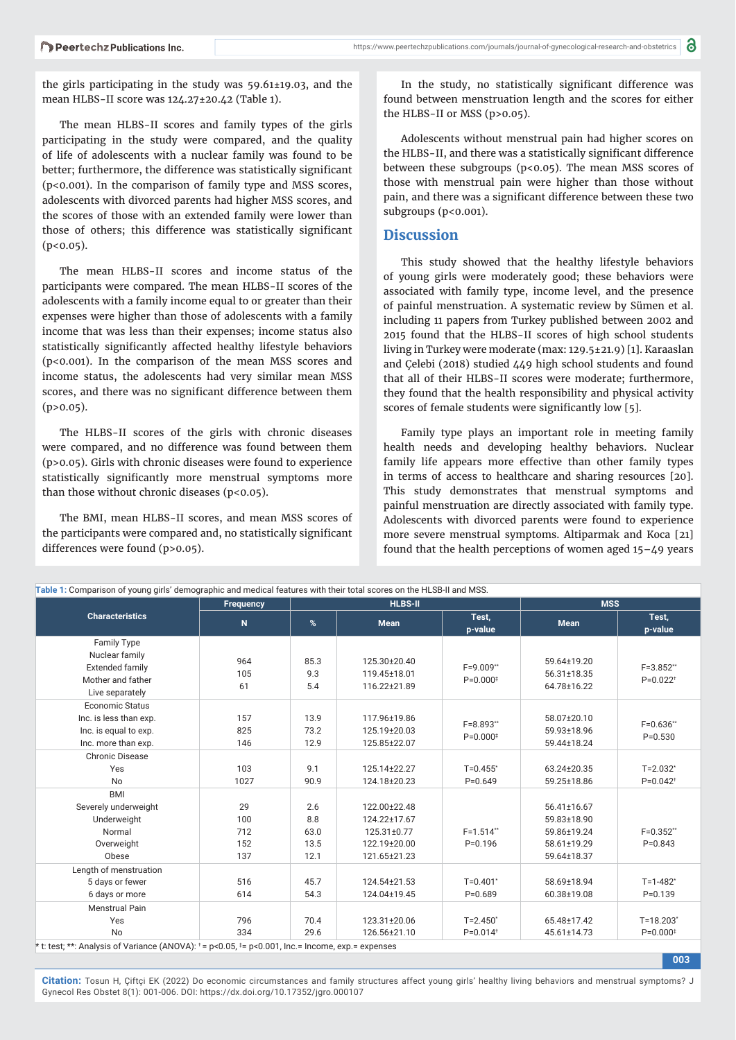the girls participating in the study was 59.61±19.03, and the mean HLBS-II score was 124.27±20.42 (Table 1).

The mean HLBS-II scores and family types of the girls participating in the study were compared, and the quality of life of adolescents with a nuclear family was found to be better; furthermore, the difference was statistically significant (p<0.001). In the comparison of family type and MSS scores, adolescents with divorced parents had higher MSS scores, and the scores of those with an extended family were lower than those of others; this difference was statistically significant  $(p<0.05)$ .

The mean HLBS-II scores and income status of the participants were compared. The mean HLBS-II scores of the adolescents with a family income equal to or greater than their expenses were higher than those of adolescents with a family income that was less than their expenses; income status also statistically significantly affected healthy lifestyle behaviors (p<0.001). In the comparison of the mean MSS scores and income status, the adolescents had very similar mean MSS scores, and there was no significant difference between them  $(p>0.05)$ .

The HLBS-II scores of the girls with chronic diseases were compared, and no difference was found between them (p>0.05). Girls with chronic diseases were found to experience statistically significantly more menstrual symptoms more than those without chronic diseases ( $p$ <0.05).

The BMI, mean HLBS-II scores, and mean MSS scores of the participants were compared and, no statistically significant differences were found (p>0.05).

In the study, no statistically significant difference was found between menstruation length and the scores for either the HLBS-II or MSS (p>0.05).

Adolescents without menstrual pain had higher scores on the HLBS-II, and there was a statistically significant difference between these subgroups ( $p<0.05$ ). The mean MSS scores of those with menstrual pain were higher than those without pain, and there was a significant difference between these two subgroups (p<0.001).

# **Discussion**

This study showed that the healthy lifestyle behaviors of young girls were moderately good; these behaviors were associated with family type, income level, and the presence of painful menstruation. A systematic review by Sümen et al. including 11 papers from Turkey published between 2002 and 2015 found that the HLBS-II scores of high school students living in Turkey were moderate (max: 129.5±21.9) [1]. Karaaslan and Çelebi (2018) studied 449 high school students and found that all of their HLBS-II scores were moderate; furthermore, they found that the health responsibility and physical activity scores of female students were significantly low [5].

Family type plays an important role in meeting family health needs and developing healthy behaviors. Nuclear family life appears more effective than other family types in terms of access to healthcare and sharing resources [20]. This study demonstrates that menstrual symptoms and painful menstruation are directly associated with family type. Adolescents with divorced parents were found to experience more severe menstrual symptoms. Altiparmak and Koca [21] found that the health perceptions of women aged  $15-\text{\textsterling}9$  years

**003**

| <b>Characteristics</b> | <b>Frequency</b><br>$\mathbf N$ | <b>HLBS-II</b> |              |                                          | <b>MSS</b>  |                        |
|------------------------|---------------------------------|----------------|--------------|------------------------------------------|-------------|------------------------|
|                        |                                 | %              | <b>Mean</b>  | Test,<br>p-value                         | <b>Mean</b> | Test,<br>p-value       |
| Family Type            |                                 |                |              |                                          |             |                        |
| Nuclear family         | 964                             | 85.3           | 125.30±20.40 |                                          | 59.64±19.20 |                        |
| <b>Extended family</b> | 105                             | 9.3            | 119.45±18.01 | F=9.009**<br>$P=0.000$ <sup>#</sup>      | 56.31±18.35 | F=3.852**              |
| Mother and father      | 61                              | 5.4            | 116.22±21.89 |                                          | 64.78±16.22 | $P=0.022$ <sup>+</sup> |
| Live separately        |                                 |                |              |                                          |             |                        |
| Economic Status        |                                 |                |              |                                          |             |                        |
| Inc. is less than exp. | 157                             | 13.9           | 117.96±19.86 | $F = 8.893$ **<br>$P=0.000$ <sup>#</sup> | 58.07±20.10 | $F = 0.636$ **         |
| Inc. is equal to exp.  | 825                             | 73.2           | 125.19±20.03 |                                          | 59.93±18.96 | $P = 0.530$            |
| Inc. more than exp.    | 146                             | 12.9           | 125.85±22.07 |                                          | 59.44±18.24 |                        |
| <b>Chronic Disease</b> |                                 |                |              |                                          |             |                        |
| Yes                    | 103                             | 9.1            | 125.14±22.27 | $T=0.455$ *                              | 63.24±20.35 | $T = 2.032$ *          |
| <b>No</b>              | 1027                            | 90.9           | 124.18±20.23 | $P = 0.649$                              | 59.25±18.86 | $P=0.042$ <sup>+</sup> |
| <b>BMI</b>             |                                 |                |              |                                          |             |                        |
| Severely underweight   | 29                              | 2.6            | 122.00±22.48 |                                          | 56.41±16.67 |                        |
| Underweight            | 100                             | 8.8            | 124.22±17.67 |                                          | 59.83±18.90 |                        |
| Normal                 | 712                             | 63.0           | 125.31±0.77  | $F = 1.514$ **                           | 59.86±19.24 | $F=0.352**$            |
| Overweight             | 152                             | 13.5           | 122.19±20.00 | $P = 0.196$                              | 58.61±19.29 | $P = 0.843$            |
| Obese                  | 137                             | 12.1           | 121.65±21.23 |                                          | 59.64±18.37 |                        |
| Length of menstruation |                                 |                |              |                                          |             |                        |
| 5 days or fewer        | 516                             | 45.7           | 124.54±21.53 | $T=0.401*$                               | 58.69±18.94 | $T = 1 - 482$ *        |
| 6 days or more         | 614                             | 54.3           | 124.04±19.45 | $P=0.689$                                | 60.38±19.08 | $P=0.139$              |
| Menstrual Pain         |                                 |                |              |                                          |             |                        |
| Yes                    | 796                             | 70.4           | 123.31±20.06 | $T = 2.450^*$                            | 65.48±17.42 | $T = 18.203$ *         |
| <b>No</b>              | 334                             | 29.6           | 126.56±21.10 | $P=0.014$ <sup>+</sup>                   | 45.61±14.73 | $P=0.000$ <sup>#</sup> |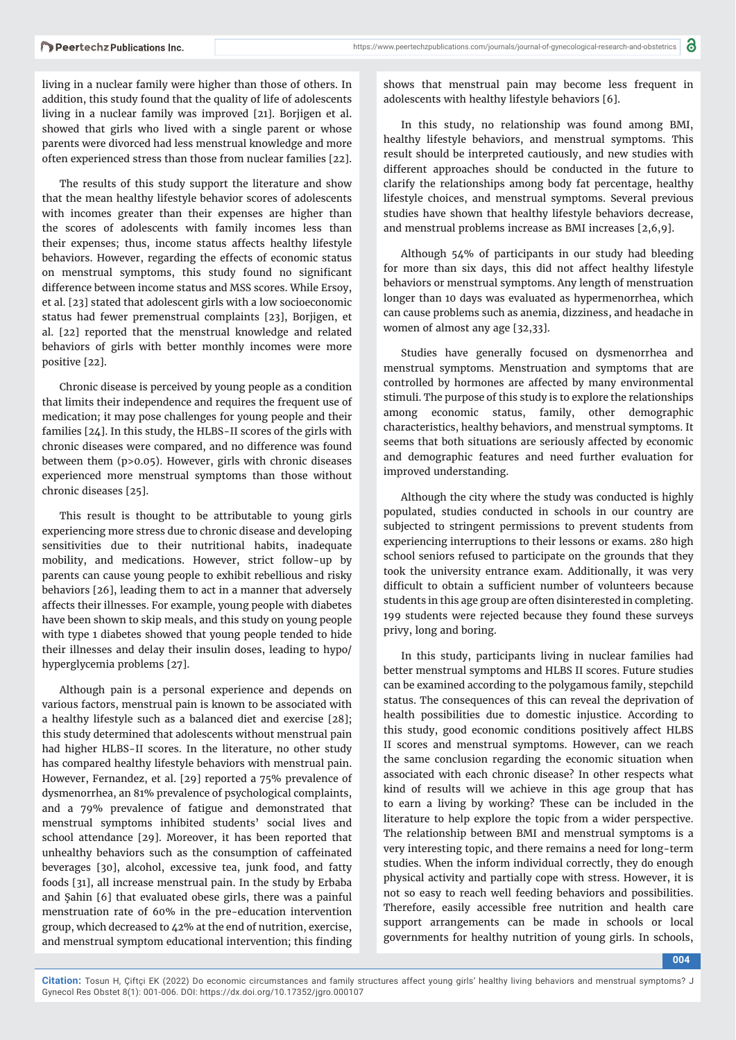living in a nuclear family were higher than those of others. In addition, this study found that the quality of life of adolescents living in a nuclear family was improved [21]. Borjigen et al. showed that girls who lived with a single parent or whose parents were divorced had less menstrual knowledge and more often experienced stress than those from nuclear families [22].

The results of this study support the literature and show that the mean healthy lifestyle behavior scores of adolescents with incomes greater than their expenses are higher than the scores of adolescents with family incomes less than their expenses; thus, income status affects healthy lifestyle behaviors. However, regarding the effects of economic status on menstrual symptoms, this study found no significant difference between income status and MSS scores. While Ersoy, et al. [23] stated that adolescent girls with a low socioeconomic status had fewer premenstrual complaints [23], Borjigen, et al. [22] reported that the menstrual knowledge and related behaviors of girls with better monthly incomes were more positive [22].

Chronic disease is perceived by young people as a condition that limits their independence and requires the frequent use of medication; it may pose challenges for young people and their families [24]. In this study, the HLBS-II scores of the girls with chronic diseases were compared, and no difference was found between them (p>0.05). However, girls with chronic diseases experienced more menstrual symptoms than those without chronic diseases [25].

This result is thought to be attributable to young girls experiencing more stress due to chronic disease and developing sensitivities due to their nutritional habits, inadequate mobility, and medications. However, strict follow-up by parents can cause young people to exhibit rebellious and risky behaviors [26], leading them to act in a manner that adversely affects their illnesses. For example, young people with diabetes have been shown to skip meals, and this study on young people with type 1 diabetes showed that young people tended to hide their illnesses and delay their insulin doses, leading to hypo/ hyperglycemia problems [27].

Although pain is a personal experience and depends on various factors, menstrual pain is known to be associated with a healthy lifestyle such as a balanced diet and exercise [28]; this study determined that adolescents without menstrual pain had higher HLBS-II scores. In the literature, no other study has compared healthy lifestyle behaviors with menstrual pain. However, Fernandez, et al. [29] reported a 75% prevalence of dysmenorrhea, an 81% prevalence of psychological complaints, and a 79% prevalence of fatigue and demonstrated that menstrual symptoms inhibited students' social lives and school attendance [29]. Moreover, it has been reported that unhealthy behaviors such as the consumption of caffeinated beverages [30], alcohol, excessive tea, junk food, and fatty foods [31], all increase menstrual pain. In the study by Erbaba and Şahin [6] that evaluated obese girls, there was a painful menstruation rate of 60% in the pre-education intervention group, which decreased to 42% at the end of nutrition, exercise, and menstrual symptom educational intervention; this finding shows that menstrual pain may become less frequent in adolescents with healthy lifestyle behaviors [6].

In this study, no relationship was found among BMI, healthy lifestyle behaviors, and menstrual symptoms. This result should be interpreted cautiously, and new studies with different approaches should be conducted in the future to clarify the relationships among body fat percentage, healthy lifestyle choices, and menstrual symptoms. Several previous studies have shown that healthy lifestyle behaviors decrease, and menstrual problems increase as BMI increases [2,6,9].

Although 54% of participants in our study had bleeding for more than six days, this did not affect healthy lifestyle behaviors or menstrual symptoms. Any length of menstruation longer than 10 days was evaluated as hypermenorrhea, which can cause problems such as anemia, dizziness, and headache in women of almost any age [32,33].

Studies have generally focused on dysmenorrhea and menstrual symptoms. Menstruation and symptoms that are controlled by hormones are affected by many environmental stimuli. The purpose of this study is to explore the relationships among economic status, family, other demographic characteristics, healthy behaviors, and menstrual symptoms. It seems that both situations are seriously affected by economic and demographic features and need further evaluation for improved understanding.

Although the city where the study was conducted is highly populated, studies conducted in schools in our country are subjected to stringent permissions to prevent students from experiencing interruptions to their lessons or exams. 280 high school seniors refused to participate on the grounds that they took the university entrance exam. Additionally, it was very difficult to obtain a sufficient number of volunteers because students in this age group are often disinterested in completing. 199 students were rejected because they found these surveys privy, long and boring.

In this study, participants living in nuclear families had better menstrual symptoms and HLBS II scores. Future studies can be examined according to the polygamous family, stepchild status. The consequences of this can reveal the deprivation of health possibilities due to domestic injustice. According to this study, good economic conditions positively affect HLBS II scores and menstrual symptoms. However, can we reach the same conclusion regarding the economic situation when associated with each chronic disease? In other respects what kind of results will we achieve in this age group that has to earn a living by working? These can be included in the literature to help explore the topic from a wider perspective. The relationship between BMI and menstrual symptoms is a very interesting topic, and there remains a need for long-term studies. When the inform individual correctly, they do enough physical activity and partially cope with stress. However, it is not so easy to reach well feeding behaviors and possibilities. Therefore, easily accessible free nutrition and health care support arrangements can be made in schools or local governments for healthy nutrition of young girls. In schools,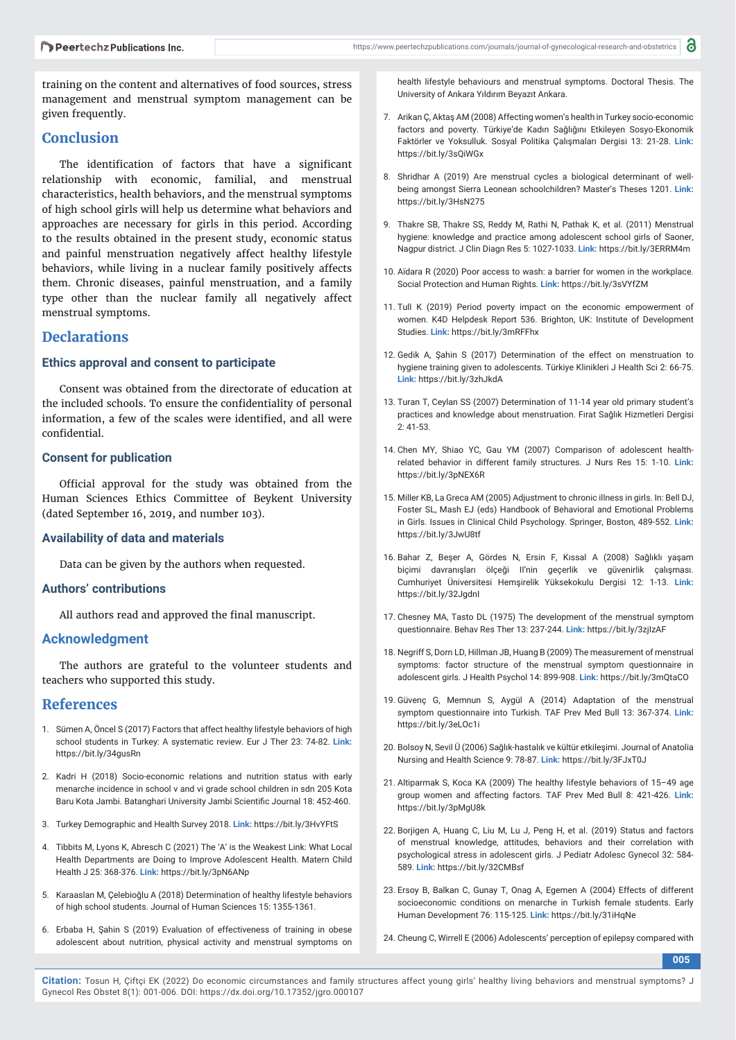training on the content and alternatives of food sources, stress management and menstrual symptom management can be given frequently.

# **Conclusion**

The identification of factors that have a significant relationship with economic, familial, and menstrual characteristics, health behaviors, and the menstrual symptoms of high school girls will help us determine what behaviors and approaches are necessary for girls in this period. According to the results obtained in the present study, economic status and painful menstruation negatively affect healthy lifestyle behaviors, while living in a nuclear family positively affects them. Chronic diseases, painful menstruation, and a family type other than the nuclear family all negatively affect menstrual symptoms.

### **Declarations**

#### **Ethics approval and consent to participate**

Consent was obtained from the directorate of education at the included schools. To ensure the confidentiality of personal information, a few of the scales were identified, and all were confidential.

#### **Consent for publication**

Official approval for the study was obtained from the Human Sciences Ethics Committee of Beykent University (dated September 16, 2019, and number 103).

#### **Availability of data and materials**

Data can be given by the authors when requested.

#### **Authors' contributions**

All authors read and approved the final manuscript.

#### **Acknowledgment**

The authors are grateful to the volunteer students and teachers who supported this study.

### **References**

- 1. Sümen A, Öncel S (2017) Factors that affect healthy lifestyle behaviors of high school students in Turkey: A systematic review. Eur J Ther 23: 74-82. **Link:** https://bit.ly/34gusRn
- 2. Kadri H (2018) Socio-economic relations and nutrition status with early menarche incidence in school v and vi grade school children in sdn 205 Kota Baru Kota Jambi. Batanghari University Jambi Scientific Journal 18: 452-460.
- 3. Turkey Demographic and Health Survey 2018. **Link:** https://bit.ly/3HvYFtS
- 4. Tibbits M, Lyons K, Abresch C (2021) The 'A' is the Weakest Link: What Local Health Departments are Doing to Improve Adolescent Health. Matern Child Health J 25: 368-376. **Link:** https://bit.ly/3pN6ANp
- 5. Karaaslan M, Çelebioğlu A (2018) Determination of healthy lifestyle behaviors of high school students. Journal of Human Sciences 15: 1355-1361.
- 6. Erbaba H, Şahin S (2019) Evaluation of effectiveness of training in obese adolescent about nutrition, physical activity and menstrual symptoms on

health lifestyle behaviours and menstrual symptoms. Doctoral Thesis. The University of Ankara Yıldırım Beyazıt Ankara.

- 7. Arikan Ç, Aktaş AM (2008) Affecting women's health in Turkey socio-economic factors and poverty. Türkiye'de Kadın Sağlığını Etkileyen Sosyo-Ekonomik Faktörler ve Yoksulluk. Sosyal Politika Çalışmaları Dergisi 13: 21-28. **Link:** https://bit.ly/3sQiWGx
- 8. Shridhar A (2019) Are menstrual cycles a biological determinant of wellbeing amongst Sierra Leonean schoolchildren? Master's Theses 1201. **Link:** https://bit.ly/3HsN275
- 9. Thakre SB, Thakre SS, Reddy M, Rathi N, Pathak K, et al. (2011) Menstrual hygiene: knowledge and practice among adolescent school girls of Saoner, Nagpur district. J Clin Diagn Res 5: 1027-1033. **Link:** https://bit.ly/3ERRM4m
- 10. Aïdara R (2020) Poor access to wash: a barrier for women in the workplace. Social Protection and Human Rights. **Link:** https://bit.ly/3sVYfZM
- 11. Tull K (2019) Period poverty impact on the economic empowerment of women. K4D Helpdesk Report 536. Brighton, UK: Institute of Development Studies. **Link:** https://bit.ly/3mRFFhx
- 12. Gedik A, Şahin S (2017) Determination of the effect on menstruation to hygiene training given to adolescents. Türkiye Klinikleri J Health Sci 2: 66-75. **Link:** https://bit.ly/3zhJkdA
- 13. Turan T, Ceylan SS (2007) Determination of 11-14 year old primary student's practices and knowledge about menstruation. Fırat Sağlık Hizmetleri Dergisi 2: 41-53.
- 14. Chen MY, Shiao YC, Gau YM (2007) Comparison of adolescent healthrelated behavior in different family structures. J Nurs Res 15: 1-10. **Link:** https://bit.ly/3pNEX6R
- 15. Miller KB, La Greca AM (2005) Adjustment to chronic illness in girls. In: Bell DJ, Foster SL, Mash EJ (eds) Handbook of Behavioral and Emotional Problems in Girls. Issues in Clinical Child Psychology. Springer, Boston, 489-552. **Link:** https://bit.ly/3JwU8tf
- 16. Bahar Z, Beşer A, Gördes N, Ersin F, Kıssal A (2008) Sağlıklı yaşam biçimi davranışları ölçeği II'nin geçerlik ve gü venirlik çalışması. Cumhuriyet Üniversitesi Hemşirelik Yü ksekokulu Dergisi 12: 1-13. **Link:** https://bit.lv/32Jgdnl
- 17. Chesney MA, Tasto DL (1975) The development of the menstrual symptom questionnaire. Behav Res Ther 13: 237-244. **Link:** https://bit.ly/3zjIzAF
- 18. Negriff S, Dorn LD, Hillman JB, Huang B (2009) The measurement of menstrual symptoms: factor structure of the menstrual symptom questionnaire in adolescent girls. J Health Psychol 14: 899-908. **Link:** https://bit.ly/3mQtaCO
- 19. Güvenç G, Memnun S, Aygül A (2014) Adaptation of the menstrual symptom questionnaire into Turkish. TAF Prev Med Bull 13: 367-374. **Link:** https://bit.ly/3eLOc1i
- 20. Bolsoy N, Sevil Ü (2006) Sağlık-hastalık ve kültür etkileşimi. Journal of Anatolia Nursing and Health Science 9: 78-87. **Link:** https://bit.ly/3FJxT0J
- 21. Altiparmak S, Koca KA (2009) The healthy lifestyle behaviors of 15–49 age group women and affecting factors. TAF Prev Med Bull 8: 421-426. **Link:** https://bit.ly/3pMgU8k
- 22. Borjigen A, Huang C, Liu M, Lu J, Peng H, et al. (2019) Status and factors of menstrual knowledge, attitudes, behaviors and their correlation with psychological stress in adolescent girls. J Pediatr Adolesc Gynecol 32: 584- 589. **Link:** https://bit.ly/32CMBsf
- 23. Ersoy B, Balkan C, Gunay T, Onag A, Egemen A (2004) Effects of different socioeconomic conditions on menarche in Turkish female students. Early Human Development 76: 115-125. **Link:** https://bit.ly/31iHqNe
- 24. Cheung C, Wirrell E (2006) Adolescents' perception of epilepsy compared with

**005**